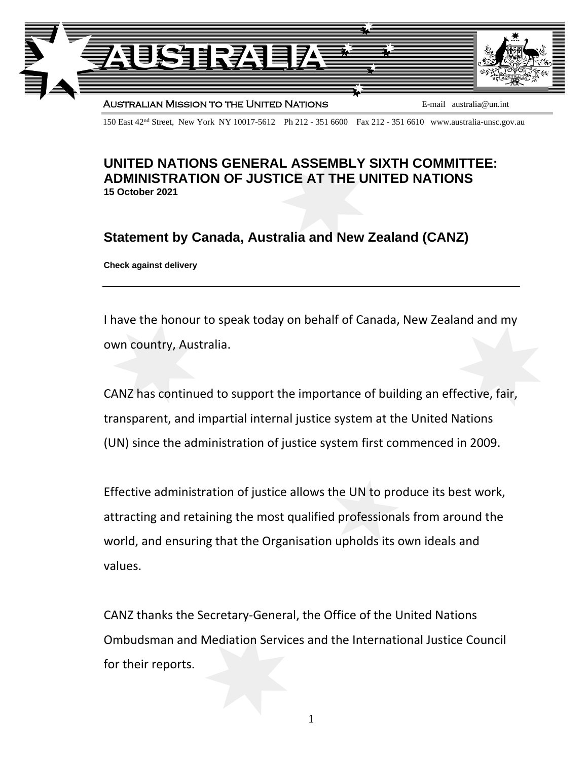

150 East 42nd Street, New York NY 10017-5612 Ph 212 - 351 6600 Fax 212 - 351 6610 www.australia-unsc.gov.au

## **UNITED NATIONS GENERAL ASSEMBLY SIXTH COMMITTEE: ADMINISTRATION OF JUSTICE AT THE UNITED NATIONS 15 October 2021**

**Statement by Canada, Australia and New Zealand (CANZ)**

**Check against delivery**

I have the honour to speak today on behalf of Canada, New Zealand and my own country, Australia.

CANZ has continued to support the importance of building an effective, fair, transparent, and impartial internal justice system at the United Nations (UN) since the administration of justice system first commenced in 2009.

Effective administration of justice allows the UN to produce its best work, attracting and retaining the most qualified professionals from around the world, and ensuring that the Organisation upholds its own ideals and values.

CANZ thanks the Secretary-General, the Office of the United Nations Ombudsman and Mediation Services and the International Justice Council for their reports.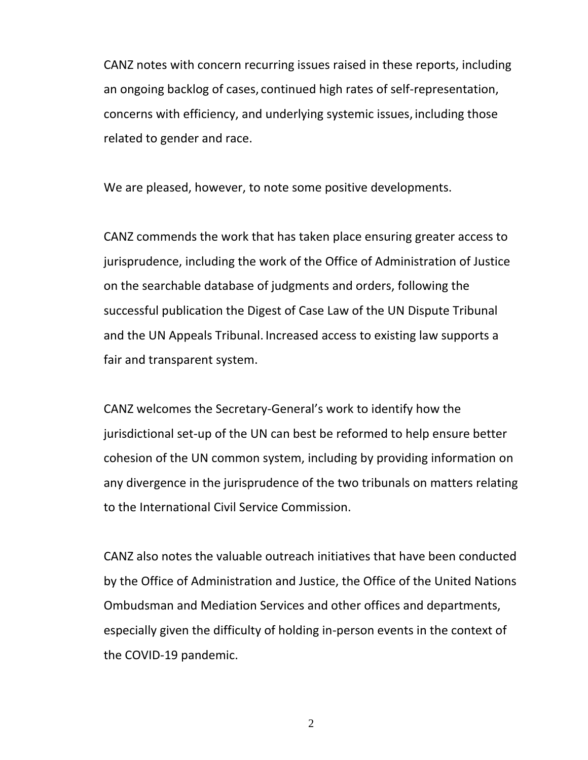CANZ notes with concern recurring issues raised in these reports, including an ongoing backlog of cases, continued high rates of self-representation, concerns with efficiency, and underlying systemic issues, including those related to gender and race.

We are pleased, however, to note some positive developments.

CANZ commends the work that has taken place ensuring greater access to jurisprudence, including the work of the Office of Administration of Justice on the searchable database of judgments and orders, following the successful publication the Digest of Case Law of the UN Dispute Tribunal and the UN Appeals Tribunal. Increased access to existing law supports a fair and transparent system.

CANZ welcomes the Secretary-General's work to identify how the jurisdictional set-up of the UN can best be reformed to help ensure better cohesion of the UN common system, including by providing information on any divergence in the jurisprudence of the two tribunals on matters relating to the International Civil Service Commission.

CANZ also notes the valuable outreach initiatives that have been conducted by the Office of Administration and Justice, the Office of the United Nations Ombudsman and Mediation Services and other offices and departments, especially given the difficulty of holding in-person events in the context of the COVID-19 pandemic.

2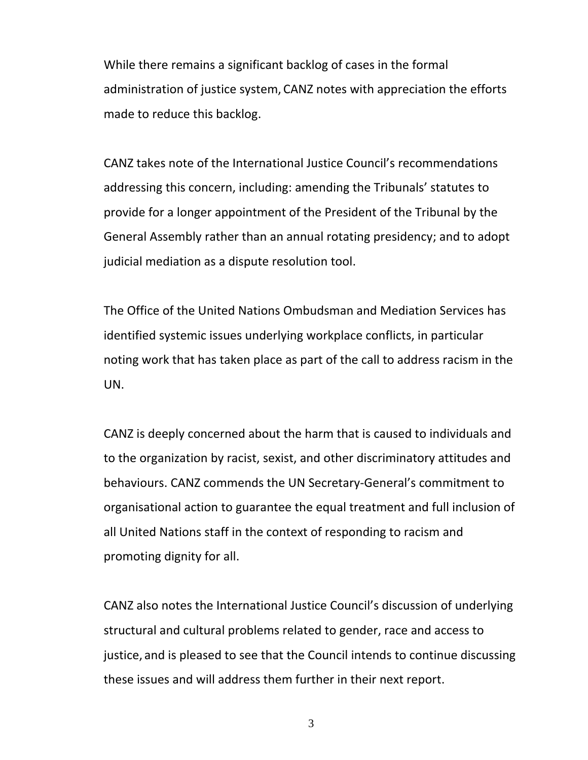While there remains a significant backlog of cases in the formal administration of justice system, CANZ notes with appreciation the efforts made to reduce this backlog.

CANZ takes note of the International Justice Council's recommendations addressing this concern, including: amending the Tribunals' statutes to provide for a longer appointment of the President of the Tribunal by the General Assembly rather than an annual rotating presidency; and to adopt judicial mediation as a dispute resolution tool.

The Office of the United Nations Ombudsman and Mediation Services has identified systemic issues underlying workplace conflicts, in particular noting work that has taken place as part of the call to address racism in the UN.

CANZ is deeply concerned about the harm that is caused to individuals and to the organization by racist, sexist, and other discriminatory attitudes and behaviours. CANZ commends the UN Secretary-General's commitment to organisational action to guarantee the equal treatment and full inclusion of all United Nations staff in the context of responding to racism and promoting dignity for all.

CANZ also notes the International Justice Council's discussion of underlying structural and cultural problems related to gender, race and access to justice, and is pleased to see that the Council intends to continue discussing these issues and will address them further in their next report.

3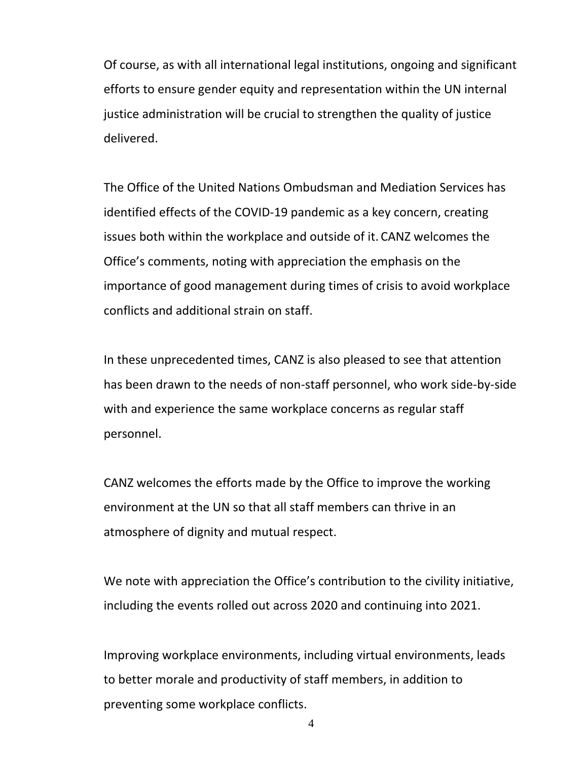Of course, as with all international legal institutions, ongoing and significant efforts to ensure gender equity and representation within the UN internal justice administration will be crucial to strengthen the quality of justice delivered.

The Office of the United Nations Ombudsman and Mediation Services has identified effects of the COVID-19 pandemic as a key concern, creating issues both within the workplace and outside of it. CANZ welcomes the Office's comments, noting with appreciation the emphasis on the importance of good management during times of crisis to avoid workplace conflicts and additional strain on staff.

In these unprecedented times, CANZ is also pleased to see that attention has been drawn to the needs of non-staff personnel, who work side-by-side with and experience the same workplace concerns as regular staff personnel.

CANZ welcomes the efforts made by the Office to improve the working environment at the UN so that all staff members can thrive in an atmosphere of dignity and mutual respect.

We note with appreciation the Office's contribution to the civility initiative, including the events rolled out across 2020 and continuing into 2021.

Improving workplace environments, including virtual environments, leads to better morale and productivity of staff members, in addition to preventing some workplace conflicts.